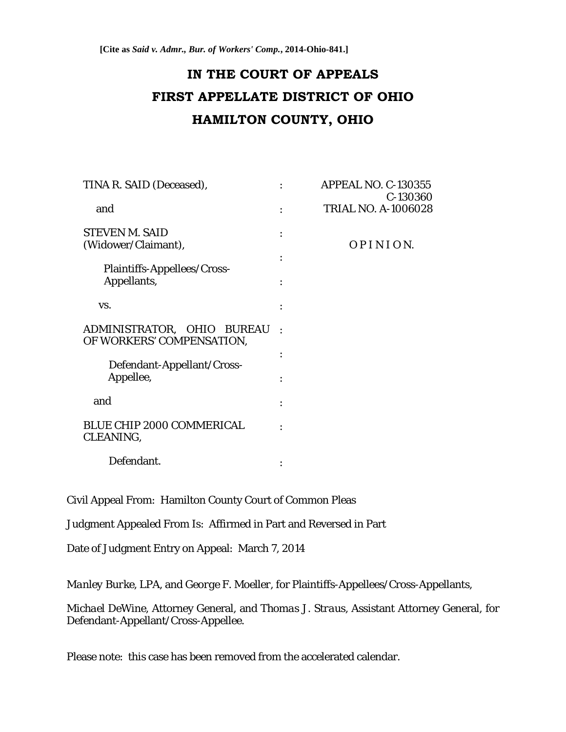# **IN THE COURT OF APPEALS FIRST APPELLATE DISTRICT OF OHIO HAMILTON COUNTY, OHIO**

| TINA R. SAID (Deceased),                                |                | <b>APPEAL NO. C-130355</b><br>C-130360 |
|---------------------------------------------------------|----------------|----------------------------------------|
| and                                                     |                | <b>TRIAL NO. A-1006028</b>             |
| <b>STEVEN M. SAID</b><br>(Widower/Claimant),            |                | OPINION.                               |
| <b>Plaintiffs-Appellees/Cross-</b><br>Appellants,       |                |                                        |
| VS.                                                     |                |                                        |
| ADMINISTRATOR, OHIO BUREAU<br>OF WORKERS' COMPENSATION, | $\blacksquare$ |                                        |
| Defendant-Appellant/Cross-                              |                |                                        |
| Appellee,                                               |                |                                        |
| and                                                     |                |                                        |
| <b>BLUE CHIP 2000 COMMERICAL</b><br>CLEANING,           |                |                                        |
| Defendant.                                              |                |                                        |

Civil Appeal From: Hamilton County Court of Common Pleas

Judgment Appealed From Is: Affirmed in Part and Reversed in Part

Date of Judgment Entry on Appeal: March 7, 2014

*Manley Burke, LPA*, and *George F. Moeller*, for Plaintiffs-Appellees/Cross-Appellants,

*Michael DeWine*, Attorney General, and *Thomas J. Straus*, Assistant Attorney General, for Defendant-Appellant/Cross-Appellee.

Please note: this case has been removed from the accelerated calendar.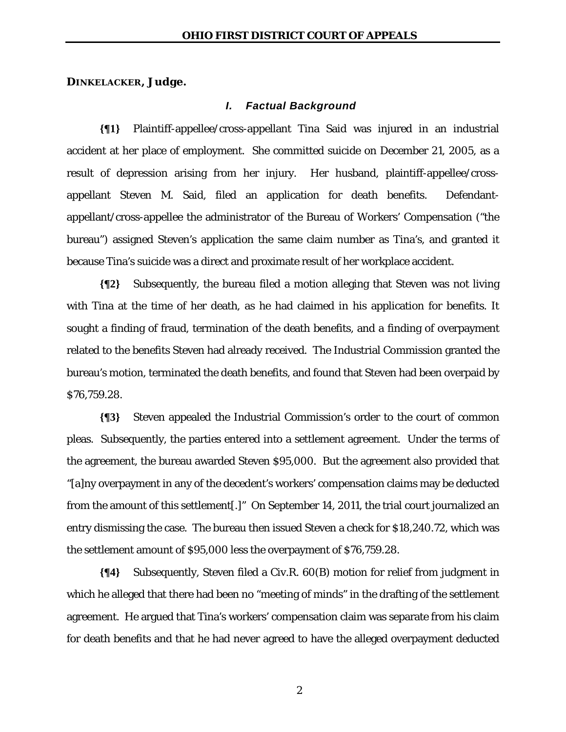### **DINKELACKER, Judge.**

#### *I. Factual Background*

**{¶1}** Plaintiff-appellee/cross-appellant Tina Said was injured in an industrial accident at her place of employment. She committed suicide on December 21, 2005, as a result of depression arising from her injury. Her husband, plaintiff-appellee/crossappellant Steven M. Said, filed an application for death benefits. Defendantappellant/cross-appellee the administrator of the Bureau of Workers' Compensation ("the bureau") assigned Steven's application the same claim number as Tina's, and granted it because Tina's suicide was a direct and proximate result of her workplace accident.

**{¶2}** Subsequently, the bureau filed a motion alleging that Steven was not living with Tina at the time of her death, as he had claimed in his application for benefits. It sought a finding of fraud, termination of the death benefits, and a finding of overpayment related to the benefits Steven had already received. The Industrial Commission granted the bureau's motion, terminated the death benefits, and found that Steven had been overpaid by \$76,759.28.

**{¶3}** Steven appealed the Industrial Commission's order to the court of common pleas. Subsequently, the parties entered into a settlement agreement. Under the terms of the agreement, the bureau awarded Steven \$95,000. But the agreement also provided that "[a]ny overpayment in any of the decedent's workers' compensation claims may be deducted from the amount of this settlement[.]" On September 14, 2011, the trial court journalized an entry dismissing the case. The bureau then issued Steven a check for \$18,240.72, which was the settlement amount of \$95,000 less the overpayment of \$76,759.28.

**{¶4}** Subsequently, Steven filed a Civ.R. 60(B) motion for relief from judgment in which he alleged that there had been no "meeting of minds" in the drafting of the settlement agreement. He argued that Tina's workers' compensation claim was separate from his claim for death benefits and that he had never agreed to have the alleged overpayment deducted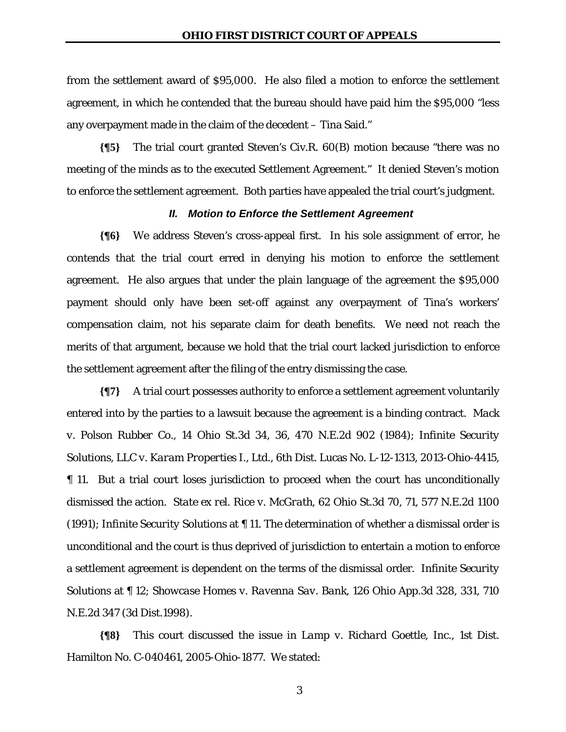from the settlement award of \$95,000. He also filed a motion to enforce the settlement agreement, in which he contended that the bureau should have paid him the \$95,000 "less any overpayment made in the claim of the decedent – Tina Said."

**{¶5}** The trial court granted Steven's Civ.R. 60(B) motion because "there was no meeting of the minds as to the executed Settlement Agreement." It denied Steven's motion to enforce the settlement agreement. Both parties have appealed the trial court's judgment.

#### *II. Motion to Enforce the Settlement Agreement*

**{¶6}** We address Steven's cross-appeal first. In his sole assignment of error, he contends that the trial court erred in denying his motion to enforce the settlement agreement. He also argues that under the plain language of the agreement the \$95,000 payment should only have been set-off against any overpayment of Tina's workers' compensation claim, not his separate claim for death benefits. We need not reach the merits of that argument, because we hold that the trial court lacked jurisdiction to enforce the settlement agreement after the filing of the entry dismissing the case.

**{¶7}** A trial court possesses authority to enforce a settlement agreement voluntarily entered into by the parties to a lawsuit because the agreement is a binding contract. *Mack v. Polson Rubber Co.*, 14 Ohio St.3d 34, 36, 470 N.E.2d 902 (1984); *Infinite Security Solutions, LLC v. Karam Properties I., Ltd.,* 6th Dist. Lucas No. L-12-1313, 2013-Ohio-4415, ¶ 11. But a trial court loses jurisdiction to proceed when the court has unconditionally dismissed the action. *State ex rel. Rice v. McGrath*, 62 Ohio St.3d 70, 71, 577 N.E.2d 1100 (1991); *Infinite Security Solutions* at ¶ 11. The determination of whether a dismissal order is unconditional and the court is thus deprived of jurisdiction to entertain a motion to enforce a settlement agreement is dependent on the terms of the dismissal order. *Infinite Security Solutions* at ¶ 12; *Showcase Homes v. Ravenna Sav. Bank*, 126 Ohio App.3d 328, 331, 710 N.E.2d 347 (3d Dist.1998).

**{¶8}** This court discussed the issue in *Lamp v. Richard Goettle, Inc.*, 1st Dist. Hamilton No. C-040461, 2005-Ohio-1877. We stated: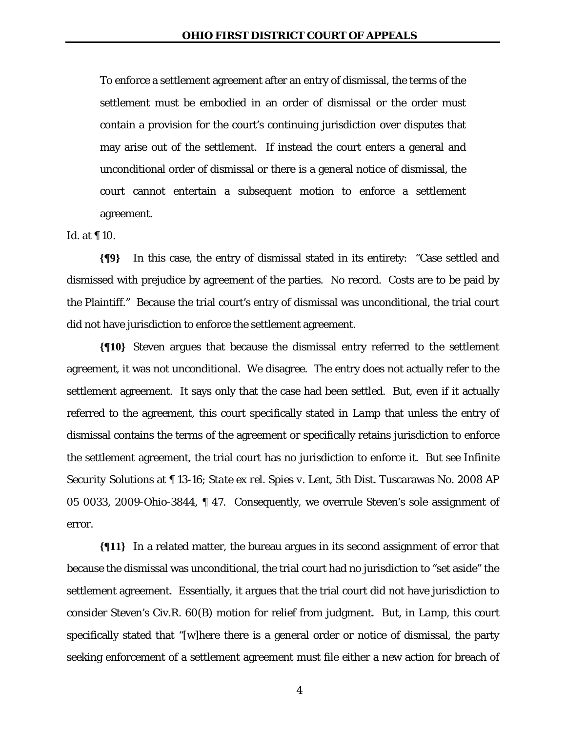To enforce a settlement agreement after an entry of dismissal, the terms of the settlement must be embodied in an order of dismissal or the order must contain a provision for the court's continuing jurisdiction over disputes that may arise out of the settlement. If instead the court enters a general and unconditional order of dismissal or there is a general notice of dismissal, the court cannot entertain a subsequent motion to enforce a settlement agreement.

*Id.* at ¶ 10.

**{¶9}** In this case, the entry of dismissal stated in its entirety: "Case settled and dismissed with prejudice by agreement of the parties. No record. Costs are to be paid by the Plaintiff." Because the trial court's entry of dismissal was unconditional, the trial court did not have jurisdiction to enforce the settlement agreement.

**{¶10}** Steven argues that because the dismissal entry referred to the settlement agreement, it was not unconditional. We disagree. The entry does not actually refer to the settlement agreement. It says only that the case had been settled. But, even if it actually referred to the agreement, this court specifically stated in *Lamp* that unless the entry of dismissal contains the terms of the agreement or specifically retains jurisdiction to enforce the settlement agreement, the trial court has no jurisdiction to enforce it. *But see Infinite Security Solutions* at ¶ 13-16; *State ex rel. Spies v. Lent*, 5th Dist. Tuscarawas No. 2008 AP 05 0033, 2009-Ohio-3844, ¶ 47. Consequently, we overrule Steven's sole assignment of error.

**{¶11}** In a related matter, the bureau argues in its second assignment of error that because the dismissal was unconditional, the trial court had no jurisdiction to "set aside" the settlement agreement. Essentially, it argues that the trial court did not have jurisdiction to consider Steven's Civ.R. 60(B) motion for relief from judgment. But, in *Lamp*, this court specifically stated that "[w]here there is a general order or notice of dismissal, the party seeking enforcement of a settlement agreement must file either a new action for breach of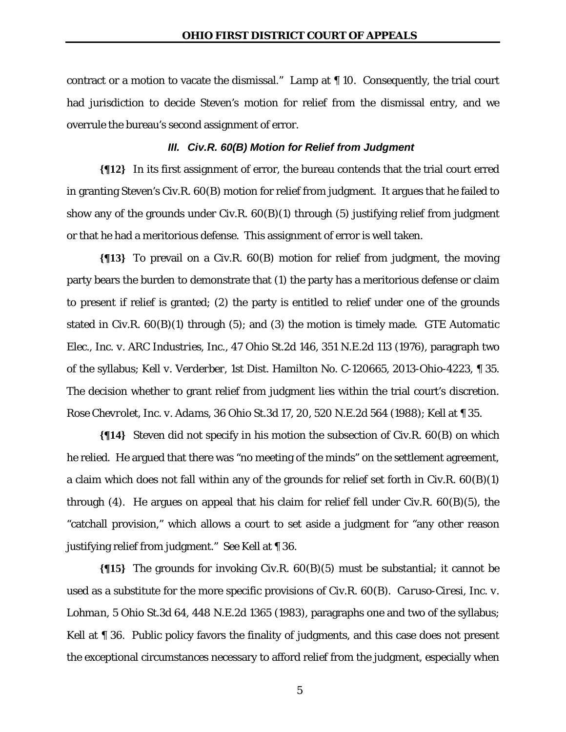contract or a motion to vacate the dismissal." *Lamp* at ¶ 10. Consequently, the trial court had jurisdiction to decide Steven's motion for relief from the dismissal entry, and we overrule the bureau's second assignment of error.

## *III. Civ.R. 60(B) Motion for Relief from Judgment*

**{¶12}** In its first assignment of error, the bureau contends that the trial court erred in granting Steven's Civ.R. 60(B) motion for relief from judgment. It argues that he failed to show any of the grounds under Civ.R.  $60(B)(1)$  through (5) justifying relief from judgment or that he had a meritorious defense. This assignment of error is well taken.

**{¶13}** To prevail on a Civ.R. 60(B) motion for relief from judgment, the moving party bears the burden to demonstrate that (1) the party has a meritorious defense or claim to present if relief is granted; (2) the party is entitled to relief under one of the grounds stated in Civ.R. 60(B)(1) through (5); and (3) the motion is timely made. *GTE Automatic Elec., Inc. v. ARC Industries, Inc.*, 47 Ohio St.2d 146, 351 N.E.2d 113 (1976), paragraph two of the syllabus; *Kell v. Verderber*, 1st Dist. Hamilton No. C-120665, 2013-Ohio-4223, ¶ 35. The decision whether to grant relief from judgment lies within the trial court's discretion. *Rose Chevrolet, Inc. v. Adams*, 36 Ohio St.3d 17, 20, 520 N.E.2d 564 (1988); *Kell* at ¶ 35.

**{¶14}** Steven did not specify in his motion the subsection of Civ.R. 60(B) on which he relied. He argued that there was "no meeting of the minds" on the settlement agreement, a claim which does not fall within any of the grounds for relief set forth in Civ.R. 60(B)(1) through (4). He argues on appeal that his claim for relief fell under Civ.R. 60(B)(5), the "catchall provision," which allows a court to set aside a judgment for "any other reason justifying relief from judgment." *See Kell* at ¶ 36.

**{¶15}** The grounds for invoking Civ.R. 60(B)(5) must be substantial; it cannot be used as a substitute for the more specific provisions of Civ.R. 60(B). *Caruso-Ciresi, Inc. v. Lohman*, 5 Ohio St.3d 64, 448 N.E.2d 1365 (1983), paragraphs one and two of the syllabus; *Kell* at **[110** 36. Public policy favors the finality of judgments, and this case does not present the exceptional circumstances necessary to afford relief from the judgment, especially when